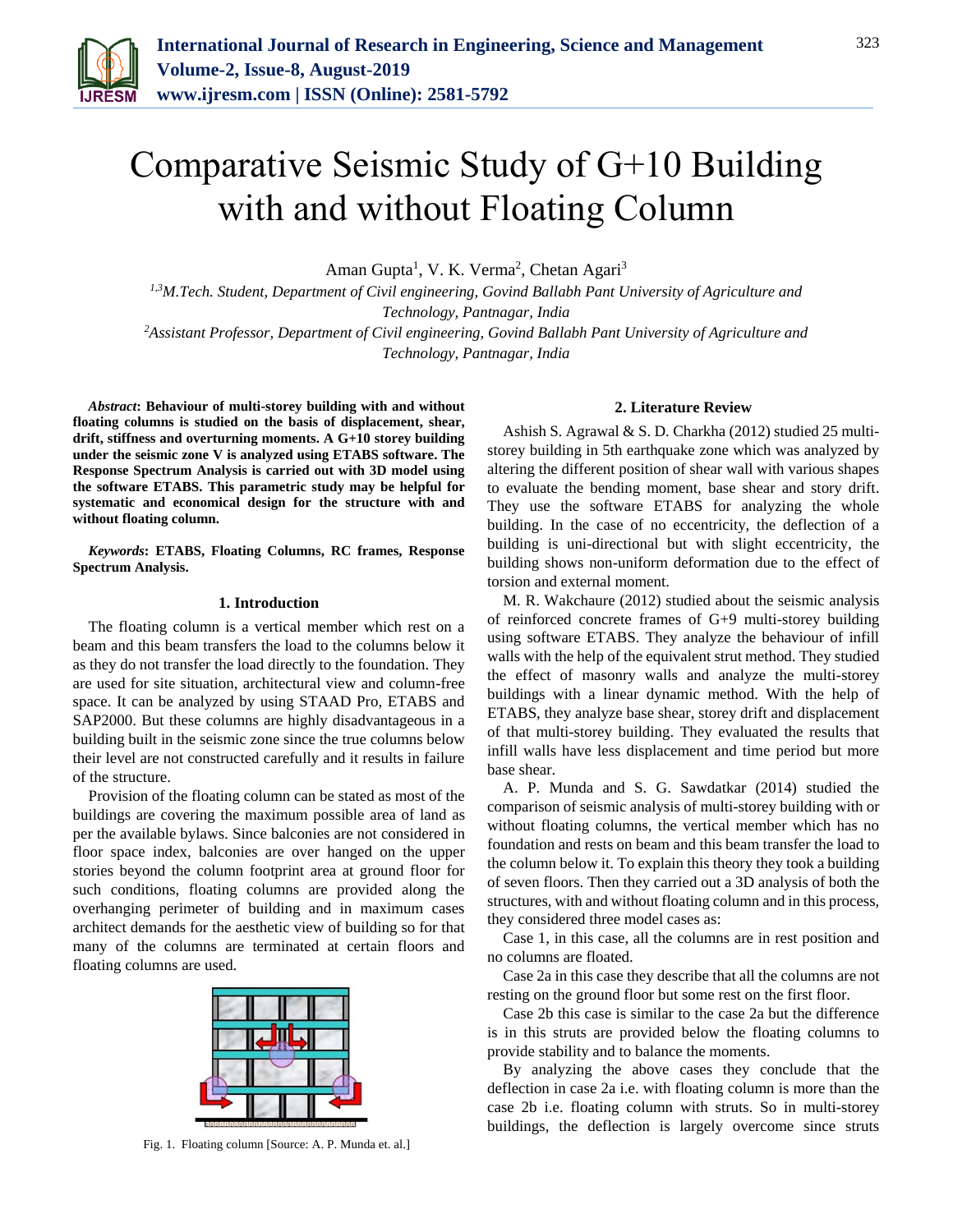

# Comparative Seismic Study of G+10 Building with and without Floating Column

Aman Gupta<sup>1</sup>, V. K. Verma<sup>2</sup>, Chetan Agari<sup>3</sup>

*1,3M.Tech. Student, Department of Civil engineering, Govind Ballabh Pant University of Agriculture and Technology, Pantnagar, India*

*<sup>2</sup>Assistant Professor, Department of Civil engineering, Govind Ballabh Pant University of Agriculture and Technology, Pantnagar, India*

*Abstract***: Behaviour of multi-storey building with and without floating columns is studied on the basis of displacement, shear, drift, stiffness and overturning moments. A G+10 storey building under the seismic zone V is analyzed using ETABS software. The Response Spectrum Analysis is carried out with 3D model using the software ETABS. This parametric study may be helpful for systematic and economical design for the structure with and without floating column.**

*Keywords***: ETABS, Floating Columns, RC frames, Response Spectrum Analysis.**

#### **1. Introduction**

The floating column is a vertical member which rest on a beam and this beam transfers the load to the columns below it as they do not transfer the load directly to the foundation. They are used for site situation, architectural view and column-free space. It can be analyzed by using STAAD Pro, ETABS and SAP2000. But these columns are highly disadvantageous in a building built in the seismic zone since the true columns below their level are not constructed carefully and it results in failure of the structure.

Provision of the floating column can be stated as most of the buildings are covering the maximum possible area of land as per the available bylaws. Since balconies are not considered in floor space index, balconies are over hanged on the upper stories beyond the column footprint area at ground floor for such conditions, floating columns are provided along the overhanging perimeter of building and in maximum cases architect demands for the aesthetic view of building so for that many of the columns are terminated at certain floors and floating columns are used.



Fig. 1. Floating column [Source: A. P. Munda et. al.]

### **2. Literature Review**

Ashish S. Agrawal & S. D. Charkha (2012) studied 25 multistorey building in 5th earthquake zone which was analyzed by altering the different position of shear wall with various shapes to evaluate the bending moment, base shear and story drift. They use the software ETABS for analyzing the whole building. In the case of no eccentricity, the deflection of a building is uni-directional but with slight eccentricity, the building shows non-uniform deformation due to the effect of torsion and external moment.

M. R. Wakchaure (2012) studied about the seismic analysis of reinforced concrete frames of G+9 multi-storey building using software ETABS. They analyze the behaviour of infill walls with the help of the equivalent strut method. They studied the effect of masonry walls and analyze the multi-storey buildings with a linear dynamic method. With the help of ETABS, they analyze base shear, storey drift and displacement of that multi-storey building. They evaluated the results that infill walls have less displacement and time period but more base shear.

A. P. Munda and S. G. Sawdatkar (2014) studied the comparison of seismic analysis of multi-storey building with or without floating columns, the vertical member which has no foundation and rests on beam and this beam transfer the load to the column below it. To explain this theory they took a building of seven floors. Then they carried out a 3D analysis of both the structures, with and without floating column and in this process, they considered three model cases as:

Case 1, in this case, all the columns are in rest position and no columns are floated.

Case 2a in this case they describe that all the columns are not resting on the ground floor but some rest on the first floor.

Case 2b this case is similar to the case 2a but the difference is in this struts are provided below the floating columns to provide stability and to balance the moments.

By analyzing the above cases they conclude that the deflection in case 2a i.e. with floating column is more than the case 2b i.e. floating column with struts. So in multi-storey buildings, the deflection is largely overcome since struts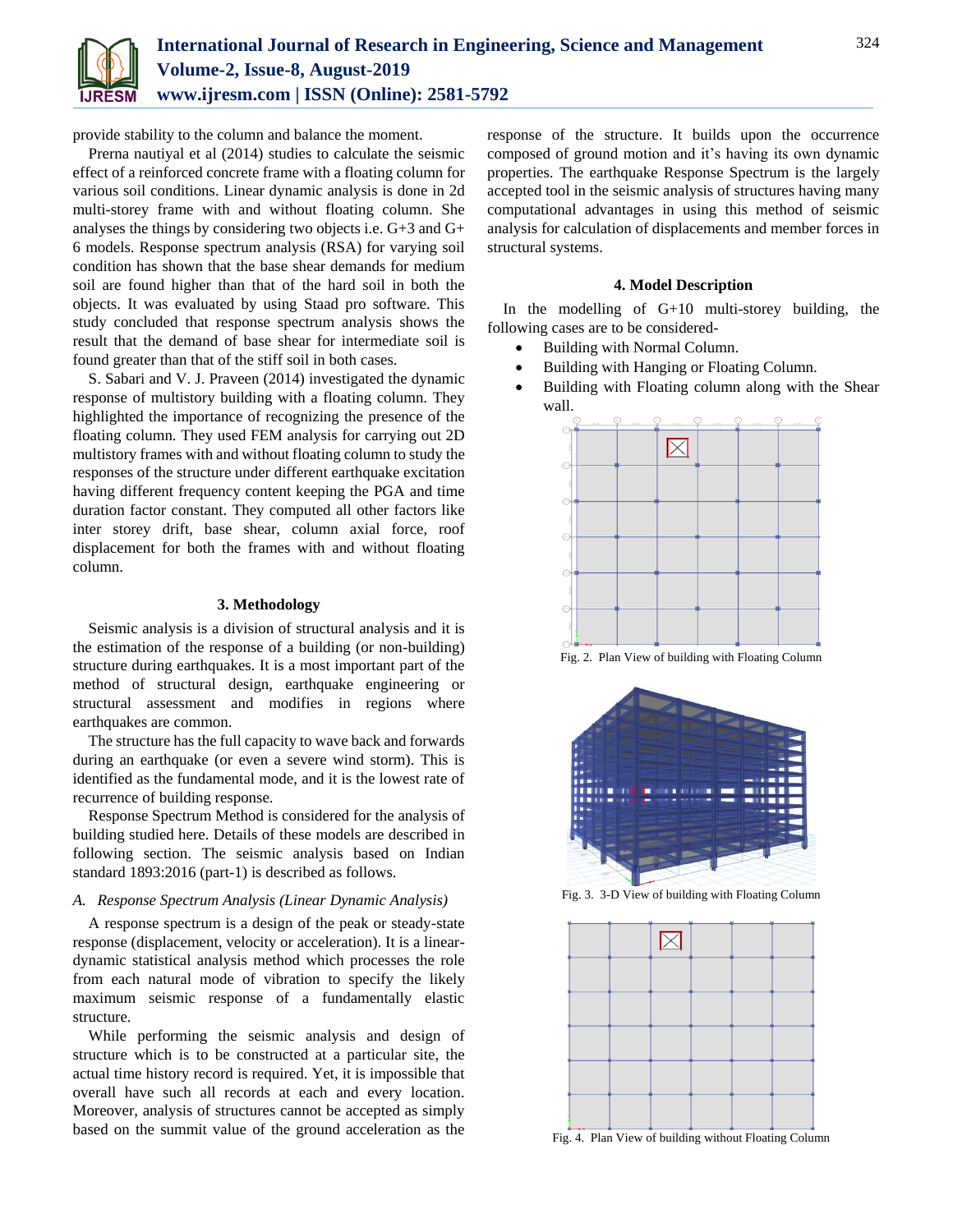

provide stability to the column and balance the moment.

Prerna nautiyal et al (2014) studies to calculate the seismic effect of a reinforced concrete frame with a floating column for various soil conditions. Linear dynamic analysis is done in 2d multi-storey frame with and without floating column. She analyses the things by considering two objects i.e. G+3 and G+ 6 models. Response spectrum analysis (RSA) for varying soil condition has shown that the base shear demands for medium soil are found higher than that of the hard soil in both the objects. It was evaluated by using Staad pro software. This study concluded that response spectrum analysis shows the result that the demand of base shear for intermediate soil is found greater than that of the stiff soil in both cases.

S. Sabari and V. J. Praveen (2014) investigated the dynamic response of multistory building with a floating column. They highlighted the importance of recognizing the presence of the floating column. They used FEM analysis for carrying out 2D multistory frames with and without floating column to study the responses of the structure under different earthquake excitation having different frequency content keeping the PGA and time duration factor constant. They computed all other factors like inter storey drift, base shear, column axial force, roof displacement for both the frames with and without floating column.

### **3. Methodology**

Seismic analysis is a division of structural analysis and it is the estimation of the response of a building (or non-building) structure during earthquakes. It is a most important part of the method of structural design, earthquake engineering or structural assessment and modifies in regions where earthquakes are common.

The structure has the full capacity to wave back and forwards during an earthquake (or even a severe wind storm). This is identified as the fundamental mode, and it is the lowest rate of recurrence of building response.

Response Spectrum Method is considered for the analysis of building studied here. Details of these models are described in following section. The seismic analysis based on Indian standard 1893:2016 (part-1) is described as follows.

## *A. Response Spectrum Analysis (Linear Dynamic Analysis)*

A response spectrum is a design of the peak or steady-state response (displacement, velocity or acceleration). It is a lineardynamic statistical analysis method which processes the role from each natural mode of vibration to specify the likely maximum seismic response of a fundamentally elastic structure.

While performing the seismic analysis and design of structure which is to be constructed at a particular site, the actual time history record is required. Yet, it is impossible that overall have such all records at each and every location. Moreover, analysis of structures cannot be accepted as simply based on the summit value of the ground acceleration as the response of the structure. It builds upon the occurrence composed of ground motion and it's having its own dynamic properties. The earthquake Response Spectrum is the largely accepted tool in the seismic analysis of structures having many computational advantages in using this method of seismic analysis for calculation of displacements and member forces in structural systems.

## **4. Model Description**

In the modelling of G+10 multi-storey building, the following cases are to be considered-

- Building with Normal Column.
- Building with Hanging or Floating Column.
- Building with Floating column along with the Shear wall.



Fig. 2. Plan View of building with Floating Column



Fig. 3. 3-D View of building with Floating Column



Fig. 4. Plan View of building without Floating Column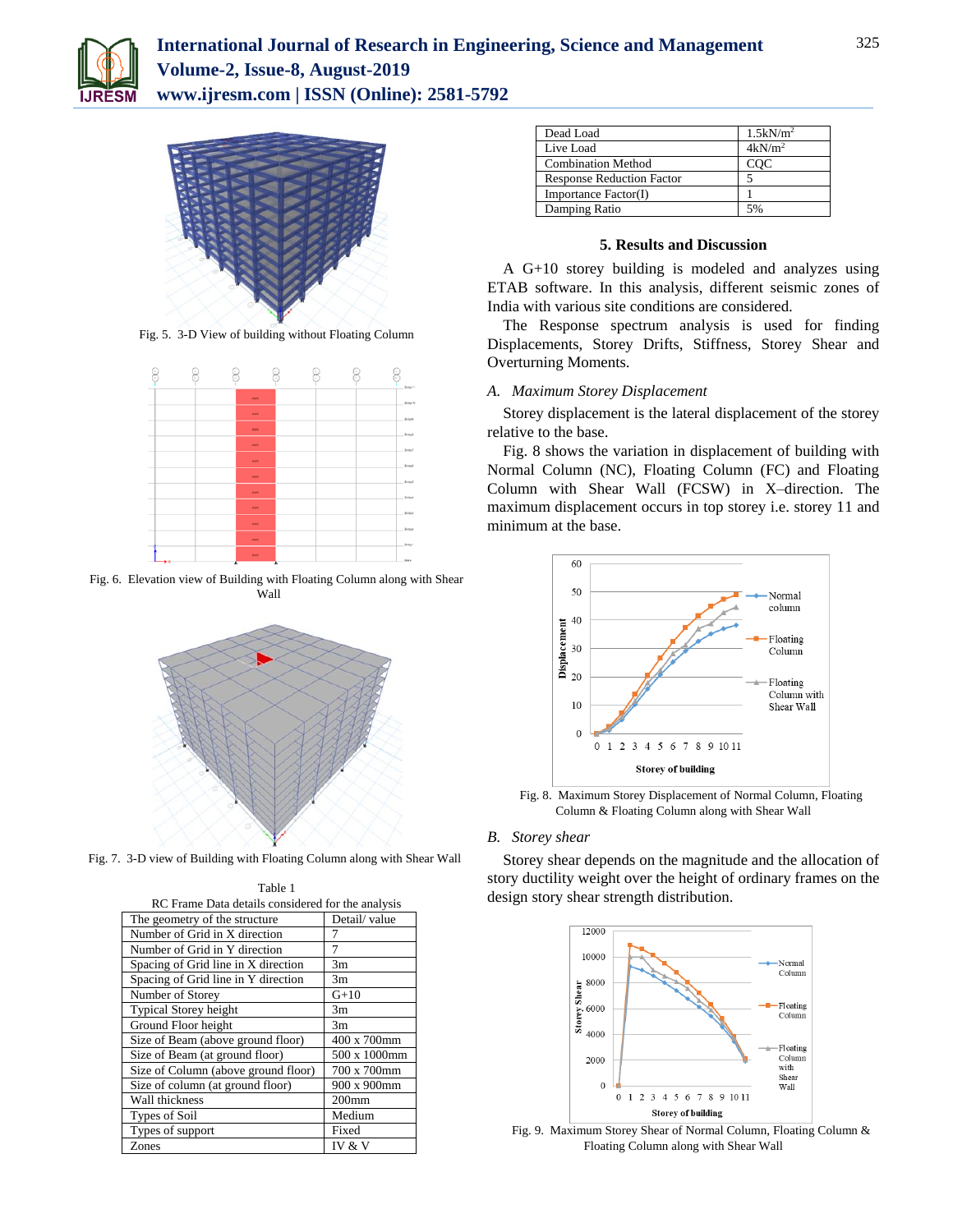



Fig. 5. 3-D View of building without Floating Column



Fig. 6. Elevation view of Building with Floating Column along with Shear Wall



Fig. 7. 3-D view of Building with Floating Column along with Shear Wall

| RC Frame Data details considered for the analysis |              |  |  |  |
|---------------------------------------------------|--------------|--|--|--|
| The geometry of the structure                     | Detail/value |  |  |  |
| Number of Grid in X direction                     | 7            |  |  |  |
| Number of Grid in Y direction                     | 7            |  |  |  |
| Spacing of Grid line in X direction               | 3m           |  |  |  |
| Spacing of Grid line in Y direction               | 3m           |  |  |  |
| Number of Storey                                  | $G+10$       |  |  |  |
| Typical Storey height                             | 3m           |  |  |  |
| Ground Floor height                               | 3m           |  |  |  |
| Size of Beam (above ground floor)                 | 400 x 700mm  |  |  |  |
| Size of Beam (at ground floor)                    | 500 x 1000mm |  |  |  |
| Size of Column (above ground floor)               | 700 x 700mm  |  |  |  |
| Size of column (at ground floor)                  | 900 x 900mm  |  |  |  |
| Wall thickness                                    | $200$ mm     |  |  |  |
| Types of Soil                                     | Medium       |  |  |  |
| Types of support                                  | Fixed        |  |  |  |
| Zones                                             | IV & V       |  |  |  |

Table 1

| Dead Load                        | $1.5$ k $N/m2$ |
|----------------------------------|----------------|
| Live Load                        | $4kN/m^2$      |
| <b>Combination Method</b>        | COC            |
| <b>Response Reduction Factor</b> |                |
| Importance Factor(I)             |                |
| Damping Ratio                    | 5%             |
|                                  |                |

## **5. Results and Discussion**

A G+10 storey building is modeled and analyzes using ETAB software. In this analysis, different seismic zones of India with various site conditions are considered.

The Response spectrum analysis is used for finding Displacements, Storey Drifts, Stiffness, Storey Shear and Overturning Moments.

## *A. Maximum Storey Displacement*

Storey displacement is the lateral displacement of the storey relative to the base.

Fig. 8 shows the variation in displacement of building with Normal Column (NC), Floating Column (FC) and Floating Column with Shear Wall (FCSW) in X–direction. The maximum displacement occurs in top storey i.e. storey 11 and minimum at the base.



Fig. 8. Maximum Storey Displacement of Normal Column, Floating Column & Floating Column along with Shear Wall

### *B. Storey shear*

Storey shear depends on the magnitude and the allocation of story ductility weight over the height of ordinary frames on the design story shear strength distribution.



Fig. 9. Maximum Storey Shear of Normal Column, Floating Column & Floating Column along with Shear Wall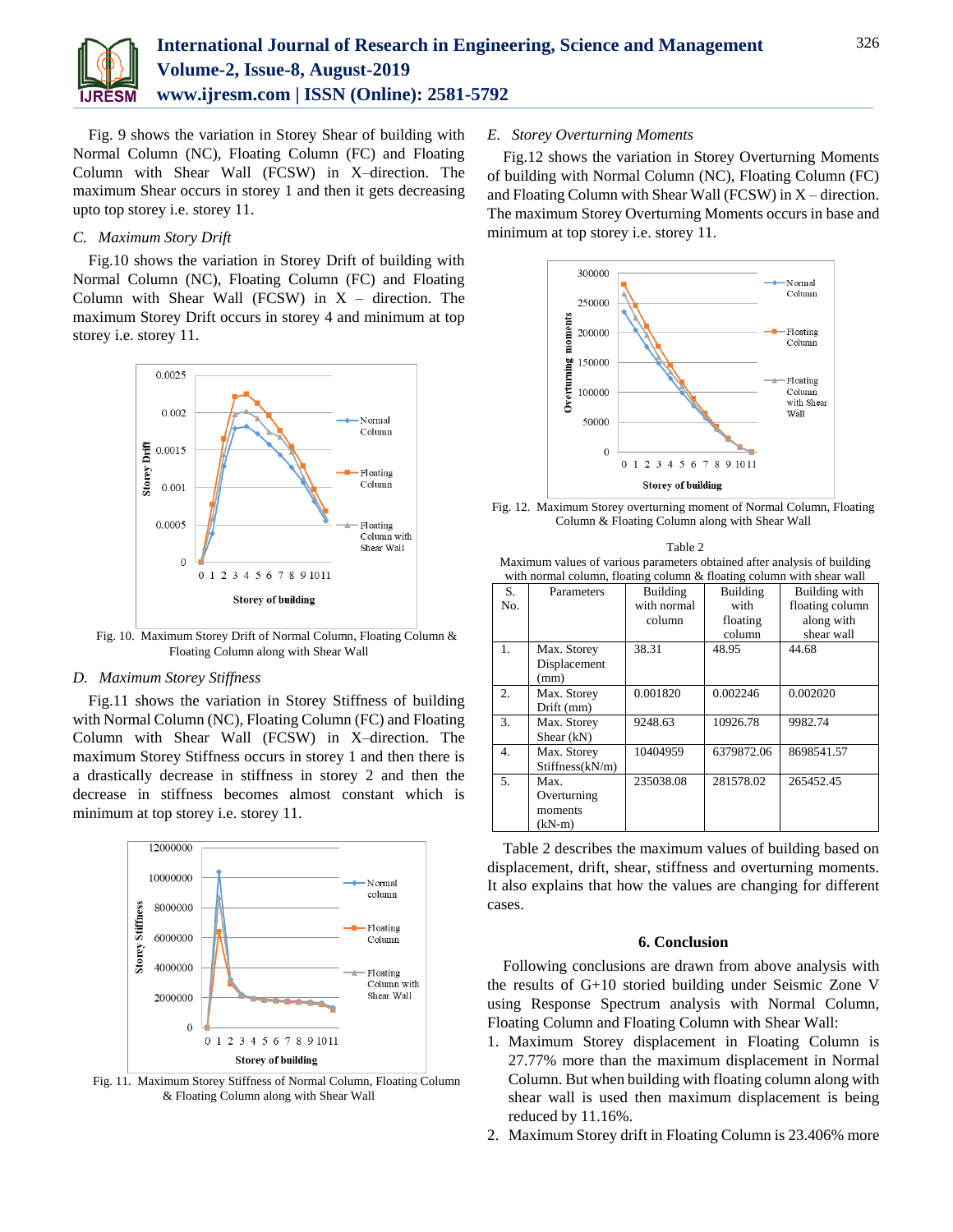

Fig. 9 shows the variation in Storey Shear of building with Normal Column (NC), Floating Column (FC) and Floating Column with Shear Wall (FCSW) in X–direction. The maximum Shear occurs in storey 1 and then it gets decreasing upto top storey i.e. storey 11.

## *C. Maximum Story Drift*

Fig.10 shows the variation in Storey Drift of building with Normal Column (NC), Floating Column (FC) and Floating Column with Shear Wall (FCSW) in  $X -$  direction. The maximum Storey Drift occurs in storey 4 and minimum at top storey i.e. storey 11.



Fig. 10. Maximum Storey Drift of Normal Column, Floating Column & Floating Column along with Shear Wall

## *D. Maximum Storey Stiffness*

Fig.11 shows the variation in Storey Stiffness of building with Normal Column (NC), Floating Column (FC) and Floating Column with Shear Wall (FCSW) in X–direction. The maximum Storey Stiffness occurs in storey 1 and then there is a drastically decrease in stiffness in storey 2 and then the decrease in stiffness becomes almost constant which is minimum at top storey i.e. storey 11.



Fig. 11. Maximum Storey Stiffness of Normal Column, Floating Column & Floating Column along with Shear Wall

## *E. Storey Overturning Moments*

Fig.12 shows the variation in Storey Overturning Moments of building with Normal Column (NC), Floating Column (FC) and Floating Column with Shear Wall (FCSW) in X – direction. The maximum Storey Overturning Moments occurs in base and minimum at top storey i.e. storey 11.



Fig. 12. Maximum Storey overturning moment of Normal Column, Floating Column & Floating Column along with Shear Wall

| Table 2                                                                  |
|--------------------------------------------------------------------------|
| Maximum values of various parameters obtained after analysis of building |
| with normal column, floating column & floating column with shear wall    |

| with hormal column, rioating column ex hoating column with shear wan |                 |             |                 |                 |
|----------------------------------------------------------------------|-----------------|-------------|-----------------|-----------------|
| S.                                                                   | Parameters      | Building    | <b>Building</b> | Building with   |
| No.                                                                  |                 | with normal | with            | floating column |
|                                                                      |                 | column      | floating        | along with      |
|                                                                      |                 |             | column          | shear wall      |
| 1.                                                                   | Max. Storey     | 38.31       | 48.95           | 44.68           |
|                                                                      | Displacement    |             |                 |                 |
|                                                                      | (mm)            |             |                 |                 |
| 2.                                                                   | Max. Storey     | 0.001820    | 0.002246        | 0.002020        |
|                                                                      | Drift (mm)      |             |                 |                 |
| 3.                                                                   | Max. Storey     | 9248.63     | 10926.78        | 9982.74         |
|                                                                      | Shear $(kN)$    |             |                 |                 |
| 4.                                                                   | Max. Storey     | 10404959    | 6379872.06      | 8698541.57      |
|                                                                      | Stiffness(kN/m) |             |                 |                 |
| 5.                                                                   | Max.            | 235038.08   | 281578.02       | 265452.45       |
|                                                                      | Overturning     |             |                 |                 |
|                                                                      | moments         |             |                 |                 |
|                                                                      | $(kN-m)$        |             |                 |                 |

Table 2 describes the maximum values of building based on displacement, drift, shear, stiffness and overturning moments. It also explains that how the values are changing for different cases.

#### **6. Conclusion**

Following conclusions are drawn from above analysis with the results of G+10 storied building under Seismic Zone V using Response Spectrum analysis with Normal Column, Floating Column and Floating Column with Shear Wall:

- 1. Maximum Storey displacement in Floating Column is 27.77% more than the maximum displacement in Normal Column. But when building with floating column along with shear wall is used then maximum displacement is being reduced by 11.16%.
- 2. Maximum Storey drift in Floating Column is 23.406% more